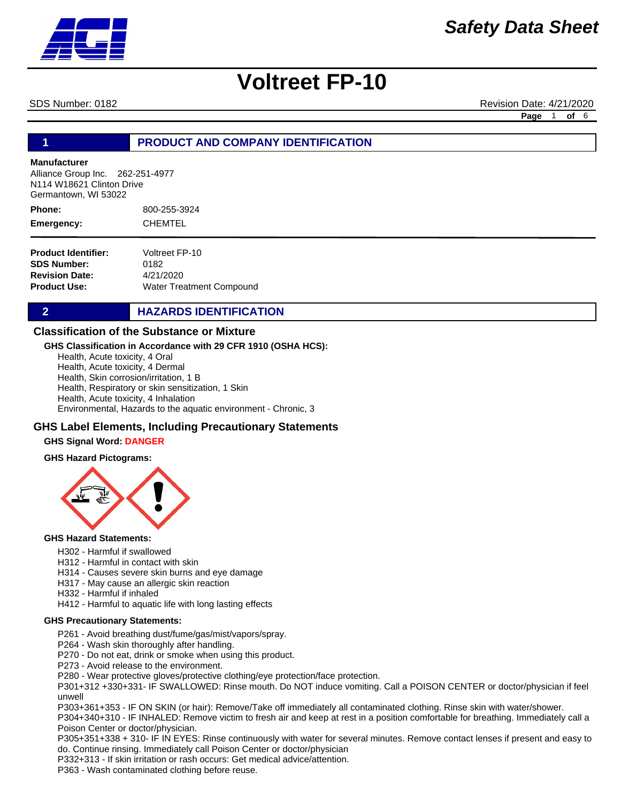SDS Number: 0182 Revision Date: 4/21/2020 **Page** 1 **of** 6

# **1 PRODUCT AND COMPANY IDENTIFICATION**

#### **Manufacturer**

Alliance Group Inc. 262-251-4977 N114 W18621 Clinton Drive Germantown, WI 53022

800-255-3924 CHEMTEL **Phone: Emergency:**

| Voltreet FP-10                  |
|---------------------------------|
| 0182                            |
| 4/21/2020                       |
| <b>Water Treatment Compound</b> |
|                                 |

# **2 HAZARDS IDENTIFICATION**

## **Classification of the Substance or Mixture**

#### **GHS Classification in Accordance with 29 CFR 1910 (OSHA HCS):**

Health, Acute toxicity, 4 Oral Health, Acute toxicity, 4 Dermal Health, Skin corrosion/irritation, 1 B Health, Respiratory or skin sensitization, 1 Skin Health, Acute toxicity, 4 Inhalation Environmental, Hazards to the aquatic environment - Chronic, 3

## **GHS Label Elements, Including Precautionary Statements**

#### **GHS Signal Word: DANGER**

#### **GHS Hazard Pictograms:**



#### **GHS Hazard Statements:**

- H302 Harmful if swallowed
- H312 Harmful in contact with skin
- H314 Causes severe skin burns and eye damage
- H317 May cause an allergic skin reaction
- H332 Harmful if inhaled
- H412 Harmful to aquatic life with long lasting effects

#### **GHS Precautionary Statements:**

- P261 Avoid breathing dust/fume/gas/mist/vapors/spray.
- P264 Wash skin thoroughly after handling.
- P270 Do not eat, drink or smoke when using this product.
- P273 Avoid release to the environment.
- P280 Wear protective gloves/protective clothing/eye protection/face protection.

P301+312 +330+331- IF SWALLOWED: Rinse mouth. Do NOT induce vomiting. Call a POISON CENTER or doctor/physician if feel unwell

P303+361+353 - IF ON SKIN (or hair): Remove/Take off immediately all contaminated clothing. Rinse skin with water/shower.

P304+340+310 - IF INHALED: Remove victim to fresh air and keep at rest in a position comfortable for breathing. Immediately call a Poison Center or doctor/physician.

P305+351+338 + 310- IF IN EYES: Rinse continuously with water for several minutes. Remove contact lenses if present and easy to do. Continue rinsing. Immediately call Poison Center or doctor/physician

P332+313 - If skin irritation or rash occurs: Get medical advice/attention.

P363 - Wash contaminated clothing before reuse.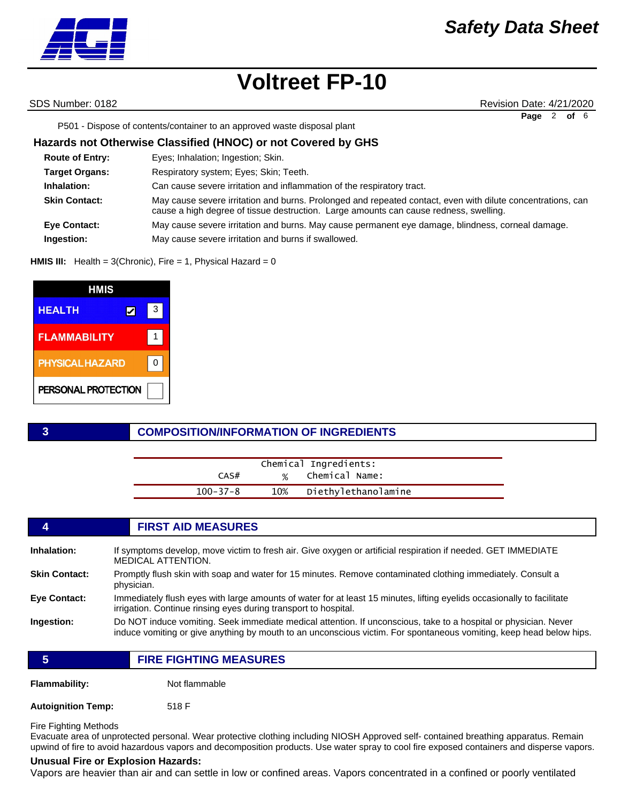SDS Number: 0182 Revision Date: 4/21/2020 **Page** 2 **of** 6

P501 - Dispose of contents/container to an approved waste disposal plant

## **Hazards not Otherwise Classified (HNOC) or not Covered by GHS**

| <b>Route of Entry:</b> | Eyes; Inhalation; Ingestion; Skin.                                                                                                                                                                   |
|------------------------|------------------------------------------------------------------------------------------------------------------------------------------------------------------------------------------------------|
| <b>Target Organs:</b>  | Respiratory system; Eyes; Skin; Teeth.                                                                                                                                                               |
| Inhalation:            | Can cause severe irritation and inflammation of the respiratory tract.                                                                                                                               |
| <b>Skin Contact:</b>   | May cause severe irritation and burns. Prolonged and repeated contact, even with dilute concentrations, can<br>cause a high degree of tissue destruction. Large amounts can cause redness, swelling. |
| <b>Eye Contact:</b>    | May cause severe irritation and burns. May cause permanent eye damage, blindness, corneal damage.                                                                                                    |
| Ingestion:             | May cause severe irritation and burns if swallowed.                                                                                                                                                  |

**HMIS III:** Health = 3(Chronic), Fire = 1, Physical Hazard = 0

| HMIS                   |   |   |
|------------------------|---|---|
| <b>HEALTH</b>          | ✔ | 3 |
| <b>FLAMMABILITY</b>    |   |   |
| <b>PHYSICAL HAZARD</b> |   |   |
| PERSONAL PROTECTION    |   |   |

## **3 COMPOSITION/INFORMATION OF INGREDIENTS**

|                | Chemical Ingredients:   |  |
|----------------|-------------------------|--|
| CAS#           | % Chemical Name:        |  |
| $100 - 37 - 8$ | 10% Diethylethanolamine |  |

### **4 FIRST AID MEASURES**

| Inhalation:          | If symptoms develop, move victim to fresh air. Give oxygen or artificial respiration if needed. GET IMMEDIATE<br><b>MEDICAL ATTENTION.</b>                                                                                              |
|----------------------|-----------------------------------------------------------------------------------------------------------------------------------------------------------------------------------------------------------------------------------------|
| <b>Skin Contact:</b> | Promptly flush skin with soap and water for 15 minutes. Remove contaminated clothing immediately. Consult a<br>physician.                                                                                                               |
| <b>Eye Contact:</b>  | Immediately flush eyes with large amounts of water for at least 15 minutes, lifting eyelids occasionally to facilitate<br>irrigation. Continue rinsing eyes during transport to hospital.                                               |
| Ingestion:           | Do NOT induce vomiting. Seek immediate medical attention. If unconscious, take to a hospital or physician. Never<br>induce vomiting or give anything by mouth to an unconscious victim. For spontaneous vomiting, keep head below hips. |

**5 FIRE FIGHTING MEASURES**

**Flammability:** Not flammable

**Autoignition Temp:** 518 F

Fire Fighting Methods

Evacuate area of unprotected personal. Wear protective clothing including NIOSH Approved self- contained breathing apparatus. Remain upwind of fire to avoid hazardous vapors and decomposition products. Use water spray to cool fire exposed containers and disperse vapors.

#### **Unusual Fire or Explosion Hazards:**

Vapors are heavier than air and can settle in low or confined areas. Vapors concentrated in a confined or poorly ventilated

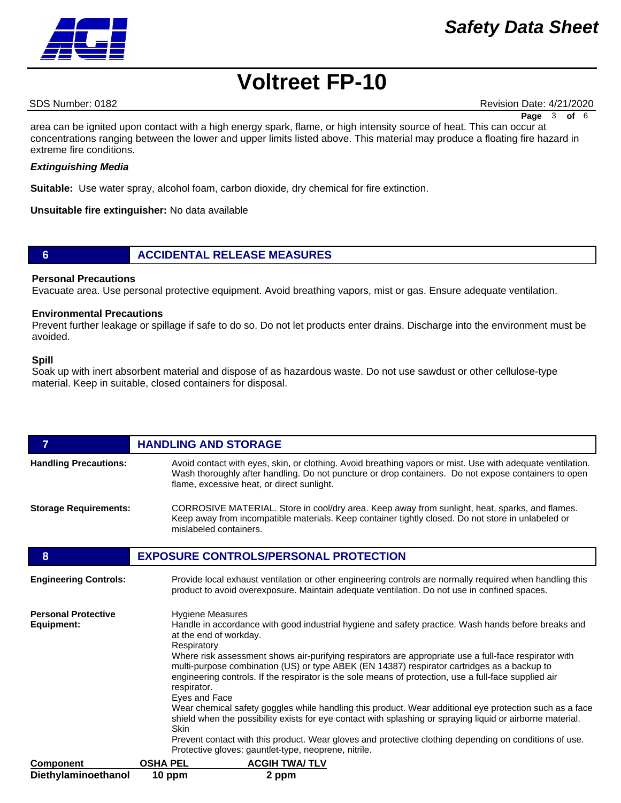# *Safety Data Sheet*

# **Voltreet FP-10**

SDS Number: 0182 Revision Date: 4/21/2020

**Page** 3 **of** 6

area can be ignited upon contact with a high energy spark, flame, or high intensity source of heat. This can occur at concentrations ranging between the lower and upper limits listed above. This material may produce a floating fire hazard in extreme fire conditions.

### *Extinguishing Media*

**Suitable:** Use water spray, alcohol foam, carbon dioxide, dry chemical for fire extinction.

**Unsuitable fire extinguisher:** No data available

## **6 ACCIDENTAL RELEASE MEASURES**

### **Personal Precautions**

Evacuate area. Use personal protective equipment. Avoid breathing vapors, mist or gas. Ensure adequate ventilation.

### **Environmental Precautions**

Prevent further leakage or spillage if safe to do so. Do not let products enter drains. Discharge into the environment must be avoided.

#### **Spill**

Soak up with inert absorbent material and dispose of as hazardous waste. Do not use sawdust or other cellulose-type material. Keep in suitable, closed containers for disposal.

| $\overline{7}$                           | <b>HANDLING AND STORAGE</b>                                                                                                                                                                                                                                                                                                                                                                                                                                                                                                                                                                                                                                                                                                                                                                                                                                                                                                 |
|------------------------------------------|-----------------------------------------------------------------------------------------------------------------------------------------------------------------------------------------------------------------------------------------------------------------------------------------------------------------------------------------------------------------------------------------------------------------------------------------------------------------------------------------------------------------------------------------------------------------------------------------------------------------------------------------------------------------------------------------------------------------------------------------------------------------------------------------------------------------------------------------------------------------------------------------------------------------------------|
| <b>Handling Precautions:</b>             | Avoid contact with eyes, skin, or clothing. Avoid breathing vapors or mist. Use with adequate ventilation.<br>Wash thoroughly after handling. Do not puncture or drop containers. Do not expose containers to open<br>flame, excessive heat, or direct sunlight.                                                                                                                                                                                                                                                                                                                                                                                                                                                                                                                                                                                                                                                            |
| <b>Storage Requirements:</b>             | CORROSIVE MATERIAL. Store in cool/dry area. Keep away from sunlight, heat, sparks, and flames.<br>Keep away from incompatible materials. Keep container tightly closed. Do not store in unlabeled or<br>mislabeled containers.                                                                                                                                                                                                                                                                                                                                                                                                                                                                                                                                                                                                                                                                                              |
| 8                                        | <b>EXPOSURE CONTROLS/PERSONAL PROTECTION</b>                                                                                                                                                                                                                                                                                                                                                                                                                                                                                                                                                                                                                                                                                                                                                                                                                                                                                |
| <b>Engineering Controls:</b>             | Provide local exhaust ventilation or other engineering controls are normally required when handling this<br>product to avoid overexposure. Maintain adequate ventilation. Do not use in confined spaces.                                                                                                                                                                                                                                                                                                                                                                                                                                                                                                                                                                                                                                                                                                                    |
| <b>Personal Protective</b><br>Equipment: | <b>Hygiene Measures</b><br>Handle in accordance with good industrial hygiene and safety practice. Wash hands before breaks and<br>at the end of workday.<br>Respiratory<br>Where risk assessment shows air-purifying respirators are appropriate use a full-face respirator with<br>multi-purpose combination (US) or type ABEK (EN 14387) respirator cartridges as a backup to<br>engineering controls. If the respirator is the sole means of protection, use a full-face supplied air<br>respirator.<br>Eyes and Face<br>Wear chemical safety goggles while handling this product. Wear additional eye protection such as a face<br>shield when the possibility exists for eye contact with splashing or spraying liquid or airborne material.<br>Skin<br>Prevent contact with this product. Wear gloves and protective clothing depending on conditions of use.<br>Protective gloves: gauntlet-type, neoprene, nitrile. |
| <b>Component</b>                         | <b>OSHA PEL</b><br><b>ACGIH TWA/TLV</b>                                                                                                                                                                                                                                                                                                                                                                                                                                                                                                                                                                                                                                                                                                                                                                                                                                                                                     |
| Diethylaminoethanol                      | 10 ppm<br>2 ppm                                                                                                                                                                                                                                                                                                                                                                                                                                                                                                                                                                                                                                                                                                                                                                                                                                                                                                             |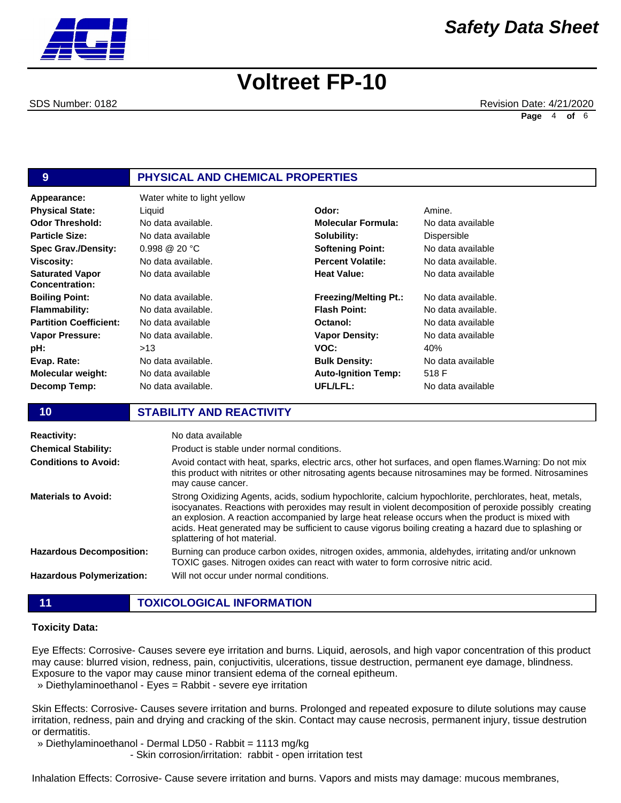SDS Number: 0182 Revision Date: 4/21/2020 **Page** 4 **of** 6

# **9 PHYSICAL AND CHEMICAL PROPERTIES**

| Appearance:                                     | Water white to light yellow |                              |                |
|-------------------------------------------------|-----------------------------|------------------------------|----------------|
| <b>Physical State:</b>                          | Liquid                      | Odor:                        | Amine.         |
| <b>Odor Threshold:</b>                          | No data available.          | <b>Molecular Formula:</b>    | No data        |
| <b>Particle Size:</b>                           | No data available           | Solubility:                  | <b>Dispers</b> |
| <b>Spec Grav./Density:</b>                      | $0.998 \ @ \ 20 \degree C$  | <b>Softening Point:</b>      | No data        |
| <b>Viscosity:</b>                               | No data available.          | <b>Percent Volatile:</b>     | No data        |
| <b>Saturated Vapor</b><br><b>Concentration:</b> | No data available           | <b>Heat Value:</b>           | No data        |
| <b>Boiling Point:</b>                           | No data available.          | <b>Freezing/Melting Pt.:</b> | No data        |
| <b>Flammability:</b>                            | No data available.          | <b>Flash Point:</b>          | No data        |
| <b>Partition Coefficient:</b>                   | No data available           | Octanol:                     | No data        |
| <b>Vapor Pressure:</b>                          | No data available.          | <b>Vapor Density:</b>        | No data        |
| pH:                                             | >13                         | VOC:                         | 40%            |
| Evap. Rate:                                     | No data available.          | <b>Bulk Density:</b>         | No data        |
| <b>Molecular weight:</b>                        | No data available           | <b>Auto-Ignition Temp:</b>   | 518 F          |
| Decomp Temp:                                    | No data available.          | UFL/LFL:                     | No data        |

#### **Molecular Formula:** No data available **Solubility: Softening Point: Percent Volatile: Heat Value: Freezing/Melting Pt.: Flash Point: Octanol: Vapor Density: VOC: Bulk Density: Auto-Ignition Temp: UFL/LFL:** Dispersible No data available No data available. No data available No data available. No data available. No data available No data available 40% No data available 518 F No data available

## **10 STABILITY AND REACTIVITY**

| <b>Reactivity:</b>               | No data available                                                                                                                                                                                                                                                                                                                                                                                                                                               |
|----------------------------------|-----------------------------------------------------------------------------------------------------------------------------------------------------------------------------------------------------------------------------------------------------------------------------------------------------------------------------------------------------------------------------------------------------------------------------------------------------------------|
| <b>Chemical Stability:</b>       | Product is stable under normal conditions.                                                                                                                                                                                                                                                                                                                                                                                                                      |
| <b>Conditions to Avoid:</b>      | Avoid contact with heat, sparks, electric arcs, other hot surfaces, and open flames. Warning: Do not mix<br>this product with nitrites or other nitrosating agents because nitrosamines may be formed. Nitrosamines<br>may cause cancer.                                                                                                                                                                                                                        |
| <b>Materials to Avoid:</b>       | Strong Oxidizing Agents, acids, sodium hypochlorite, calcium hypochlorite, perchlorates, heat, metals,<br>isocyanates. Reactions with peroxides may result in violent decomposition of peroxide possibly creating<br>an explosion. A reaction accompanied by large heat release occurs when the product is mixed with<br>acids. Heat generated may be sufficient to cause vigorus boiling creating a hazard due to splashing or<br>splattering of hot material. |
| <b>Hazardous Decomposition:</b>  | Burning can produce carbon oxides, nitrogen oxides, ammonia, aldehydes, irritating and/or unknown<br>TOXIC gases. Nitrogen oxides can react with water to form corrosive nitric acid.                                                                                                                                                                                                                                                                           |
| <b>Hazardous Polymerization:</b> | Will not occur under normal conditions.                                                                                                                                                                                                                                                                                                                                                                                                                         |

### **Toxicity Data:**

Eye Effects: Corrosive- Causes severe eye irritation and burns. Liquid, aerosols, and high vapor concentration of this product may cause: blurred vision, redness, pain, conjuctivitis, ulcerations, tissue destruction, permanent eye damage, blindness. Exposure to the vapor may cause minor transient edema of the corneal epitheum.

» Diethylaminoethanol - Eyes = Rabbit - severe eye irritation

Skin Effects: Corrosive- Causes severe irritation and burns. Prolonged and repeated exposure to dilute solutions may cause irritation, redness, pain and drying and cracking of the skin. Contact may cause necrosis, permanent injury, tissue destrution or dermatitis.

» Diethylaminoethanol - Dermal LD50 - Rabbit = 1113 mg/kg

- Skin corrosion/irritation: rabbit - open irritation test

Inhalation Effects: Corrosive- Cause severe irritation and burns. Vapors and mists may damage: mucous membranes,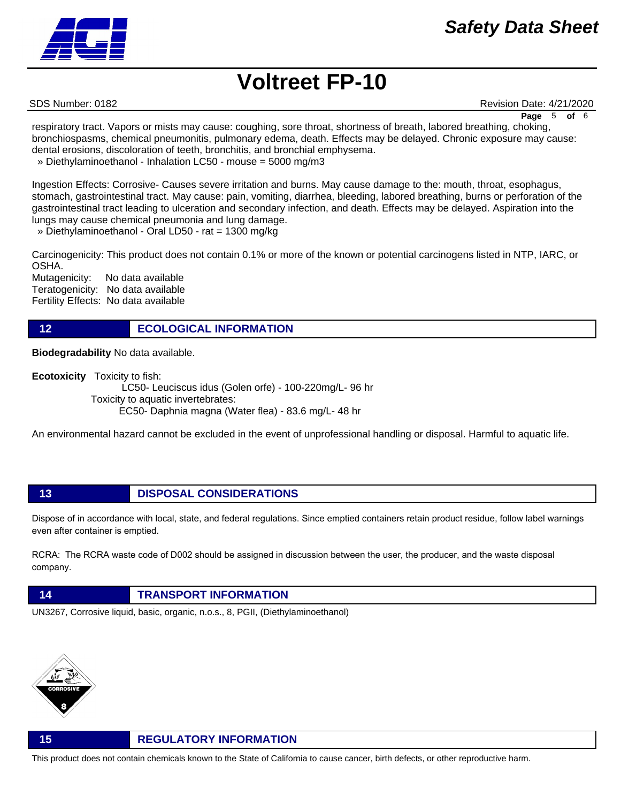SDS Number: 0182 Revision Date: 4/21/2020

**Page** 5 **of** 6

respiratory tract. Vapors or mists may cause: coughing, sore throat, shortness of breath, labored breathing, choking, bronchiospasms, chemical pneumonitis, pulmonary edema, death. Effects may be delayed. Chronic exposure may cause: dental erosions, discoloration of teeth, bronchitis, and bronchial emphysema.

» Diethylaminoethanol - Inhalation LC50 - mouse = 5000 mg/m3

Ingestion Effects: Corrosive- Causes severe irritation and burns. May cause damage to the: mouth, throat, esophagus, stomach, gastrointestinal tract. May cause: pain, vomiting, diarrhea, bleeding, labored breathing, burns or perforation of the gastrointestinal tract leading to ulceration and secondary infection, and death. Effects may be delayed. Aspiration into the lungs may cause chemical pneumonia and lung damage.

» Diethylaminoethanol - Oral LD50 - rat = 1300 mg/kg

Carcinogenicity: This product does not contain 0.1% or more of the known or potential carcinogens listed in NTP, IARC, or OSHA.

Mutagenicity: No data available Teratogenicity: No data available Fertility Effects: No data available

**12 ECOLOGICAL INFORMATION** 

**Biodegradability** No data available.

**Ecotoxicity** Toxicity to fish:

 LC50- Leuciscus idus (Golen orfe) - 100-220mg/L- 96 hr Toxicity to aquatic invertebrates: EC50- Daphnia magna (Water flea) - 83.6 mg/L- 48 hr

An environmental hazard cannot be excluded in the event of unprofessional handling or disposal. Harmful to aquatic life.

**13 DISPOSAL CONSIDERATIONS**

Dispose of in accordance with local, state, and federal regulations. Since emptied containers retain product residue, follow label warnings even after container is emptied.

RCRA: The RCRA waste code of D002 should be assigned in discussion between the user, the producer, and the waste disposal company.



UN3267, Corrosive liquid, basic, organic, n.o.s., 8, PGII, (Diethylaminoethanol)



# **15 REGULATORY INFORMATION**

This product does not contain chemicals known to the State of California to cause cancer, birth defects, or other reproductive harm.